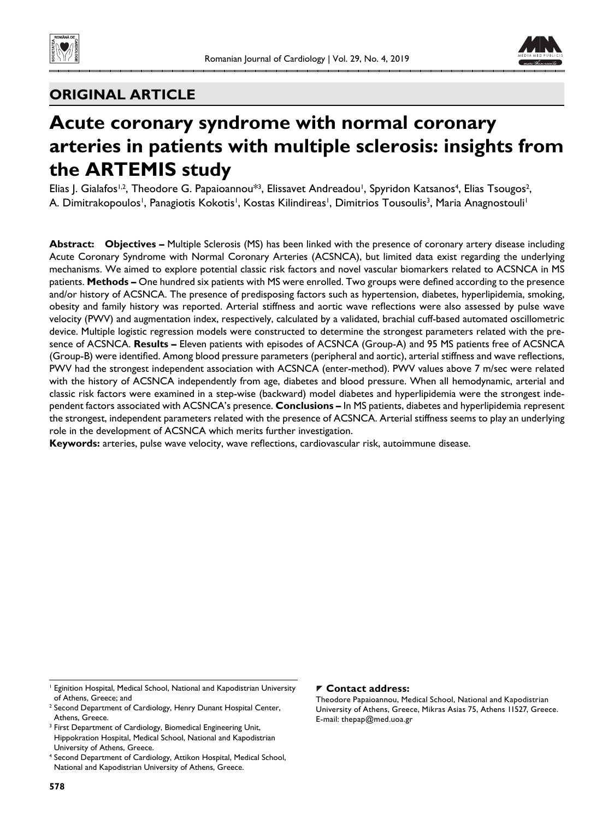



# **ORIGINAL ARTICLE**

# **Acute coronary syndrome with normal coronary arteries in patients with multiple sclerosis: insights from the ARTEMIS study**

Elias J. Gialafos<sup>1,2</sup>, Theodore G. Papaioannou<sup>\*3</sup>, Elissavet Andreadou<sup>1</sup>, Spyridon Katsanos<sup>4</sup>, Elias Tsougos<sup>2</sup>, A. Dimitrakopoulos', Panagiotis Kokotis', Kostas Kilindireas', Dimitrios Tousoulis<sup>3</sup>, Maria Anagnostouli'

**Abstract: Objectives –** Multiple Sclerosis (MS) has been linked with the presence of coronary artery disease including Acute Coronary Syndrome with Normal Coronary Arteries (ACSNCA), but limited data exist regarding the underlying mechanisms. We aimed to explore potential classic risk factors and novel vascular biomarkers related to ACSNCA in MS patients. Methods - One hundred six patients with MS were enrolled. Two groups were defined according to the presence and/or history of ACSNCA. The presence of predisposing factors such as hypertension, diabetes, hyperlipidemia, smoking, obesity and family history was reported. Arterial stiffness and aortic wave reflections were also assessed by pulse wave velocity (PWV) and augmentation index, respectively, calculated by a validated, brachial cuff-based automated oscillometric device. Multiple logistic regression models were constructed to determine the strongest parameters related with the presence of ACSNCA. **Results –** Eleven patients with episodes of ACSNCA (Group-A) and 95 MS patients free of ACSNCA (Group-B) were identified. Among blood pressure parameters (peripheral and aortic), arterial stiffness and wave reflections, PWV had the strongest independent association with ACSNCA (enter-method). PWV values above 7 m/sec were related with the history of ACSNCA independently from age, diabetes and blood pressure. When all hemodynamic, arterial and classic risk factors were examined in a step-wise (backward) model diabetes and hyperlipidemia were the strongest independent factors associated with ACSNCA's presence. **Conclusions –** In MS patients, diabetes and hyperlipidemia represent the strongest, independent parameters related with the presence of ACSNCA. Arterial stiffness seems to play an underlying role in the development of ACSNCA which merits further investigation.

Keywords: arteries, pulse wave velocity, wave reflections, cardiovascular risk, autoimmune disease.

#### **Contact address:**

Theodore Papaioannou, Medical School, National and Kapodistrian University of Athens, Greece, Mikras Asias 75, Athens 11527, Greece. E-mail: thepap@med.uoa.gr

<sup>&</sup>lt;sup>1</sup> Eginition Hospital, Medical School, National and Kapodistrian University of Athens, Greece; and

<sup>&</sup>lt;sup>2</sup> Second Department of Cardiology, Henry Dunant Hospital Center, Athens, Greece.

<sup>&</sup>lt;sup>3</sup> First Department of Cardiology, Biomedical Engineering Unit, Hippokration Hospital, Medical School, National and Kapodistrian University of Athens, Greece.

<sup>4</sup> Second Department of Cardiology, Attikon Hospital, Medical School, National and Kapodistrian University of Athens, Greece.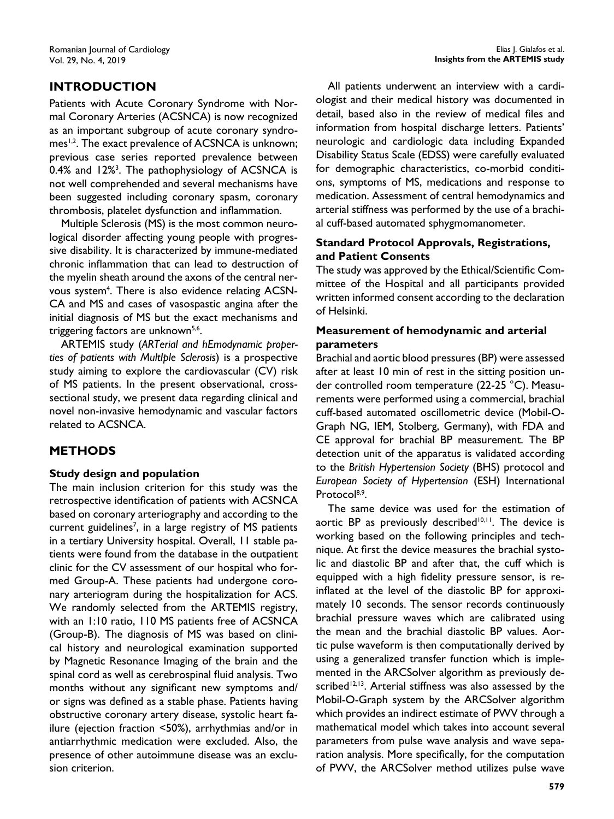# **INTRODUCTION**

Patients with Acute Coronary Syndrome with Normal Coronary Arteries (ACSNCA) is now recognized as an important subgroup of acute coronary syndromes<sup>1,2</sup>. The exact prevalence of ACSNCA is unknown; previous case series reported prevalence between 0.4% and 12%<sup>3</sup>. The pathophysiology of ACSNCA is not well comprehended and several mechanisms have been suggested including coronary spasm, coronary thrombosis, platelet dysfunction and inflammation.

Multiple Sclerosis (MS) is the most common neurological disorder affecting young people with progressive disability. It is characterized by immune-mediated chronic inflammation that can lead to destruction of the myelin sheath around the axons of the central nervous system<sup>4</sup>. There is also evidence relating ACSN-CA and MS and cases of vasospastic angina after the initial diagnosis of MS but the exact mechanisms and triggering factors are unknown<sup>5,6</sup>.

ARTEMIS study (*ARTerial and hEmodynamic properties of patients with MultIple Sclerosis*) is a prospective study aiming to explore the cardiovascular (CV) risk of MS patients. In the present observational, crosssectional study, we present data regarding clinical and novel non-invasive hemodynamic and vascular factors related to ACSNCA.

## **METHODS**

#### **Study design and population**

The main inclusion criterion for this study was the retrospective identification of patients with ACSNCA based on coronary arteriography and according to the current guidelines<sup>7</sup>, in a large registry of MS patients in a tertiary University hospital. Overall, 11 stable patients were found from the database in the outpatient clinic for the CV assessment of our hospital who formed Group-A. These patients had undergone coronary arteriogram during the hospitalization for ACS. We randomly selected from the ARTEMIS registry, with an 1:10 ratio, 110 MS patients free of ACSNCA (Group-B). The diagnosis of MS was based on clinical history and neurological examination supported by Magnetic Resonance Imaging of the brain and the spinal cord as well as cerebrospinal fluid analysis. Two months without any significant new symptoms and/ or signs was defined as a stable phase. Patients having obstructive coronary artery disease, systolic heart failure (ejection fraction <50%), arrhythmias and/or in antiarrhythmic medication were excluded. Also, the presence of other autoimmune disease was an exclusion criterion.

All patients underwent an interview with a cardiologist and their medical history was documented in detail, based also in the review of medical files and information from hospital discharge letters. Patients' neurologic and cardiologic data including Expanded Disability Status Scale (EDSS) were carefully evaluated for demographic characteristics, co-morbid conditions, symptoms of MS, medications and response to medication. Assessment of central hemodynamics and arterial stiffness was performed by the use of a brachial cuff-based automated sphygmomanometer.

### **Standard Protocol Approvals, Registrations, and Patient Consents**

The study was approved by the Ethical/Scientific Committee of the Hospital and all participants provided written informed consent according to the declaration of Helsinki.

#### **Measurement of hemodynamic and arterial parameters**

Brachial and aortic blood pressures (BP) were assessed after at least 10 min of rest in the sitting position under controlled room temperature (22-25 °C). Measurements were performed using a commercial, brachial cuff-based automated oscillometric device (Mobil-O-Graph NG, IEM, Stolberg, Germany), with FDA and CE approval for brachial BP measurement. The BP detection unit of the apparatus is validated according to the *British Hypertension Society* (BHS) protocol and *European Society of Hypertension* (ESH) International Protocol<sup>8,9</sup>

The same device was used for the estimation of aortic BP as previously described<sup>10,11</sup>. The device is working based on the following principles and technique. At first the device measures the brachial systolic and diastolic BP and after that, the cuff which is equipped with a high fidelity pressure sensor, is reinflated at the level of the diastolic BP for approximately 10 seconds. The sensor records continuously brachial pressure waves which are calibrated using the mean and the brachial diastolic BP values. Aortic pulse waveform is then computationally derived by using a generalized transfer function which is implemented in the ARCSolver algorithm as previously described<sup>12,13</sup>. Arterial stiffness was also assessed by the Mobil-O-Graph system by the ARCSolver algorithm which provides an indirect estimate of PWV through a mathematical model which takes into account several parameters from pulse wave analysis and wave separation analysis. More specifically, for the computation of PWV, the ARCSolver method utilizes pulse wave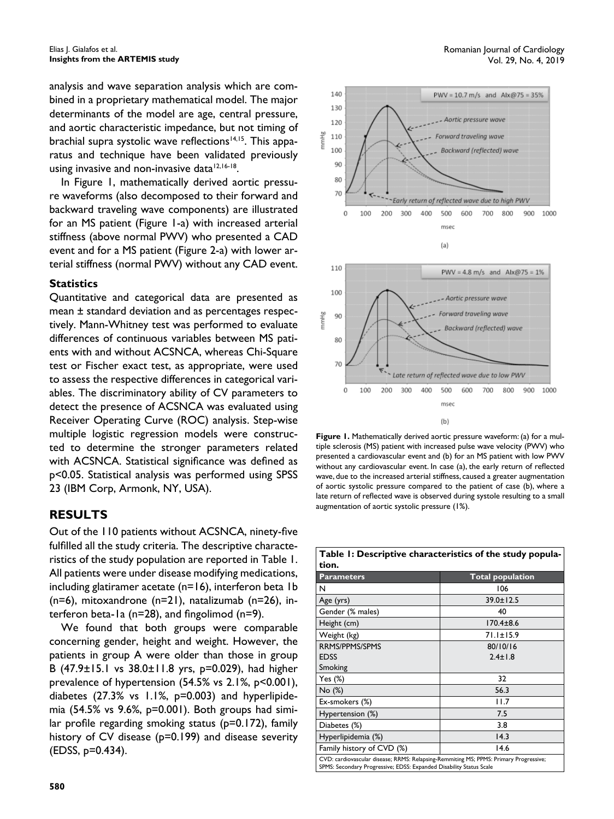analysis and wave separation analysis which are combined in a proprietary mathematical model. The major determinants of the model are age, central pressure, and aortic characteristic impedance, but not timing of brachial supra systolic wave reflections<sup>14,15</sup>. This apparatus and technique have been validated previously using invasive and non-invasive data<sup>12,16-18</sup>.

In Figure 1, mathematically derived aortic pressure waveforms (also decomposed to their forward and backward traveling wave components) are illustrated for an MS patient (Figure 1-a) with increased arterial stiffness (above normal PWV) who presented a CAD event and for a MS patient (Figure 2-a) with lower arterial stiffness (normal PWV) without any CAD event.

#### **Statistics**

Quantitative and categorical data are presented as mean ± standard deviation and as percentages respectively. Mann-Whitney test was performed to evaluate differences of continuous variables between MS patients with and without ACSNCA, whereas Chi-Square test or Fischer exact test, as appropriate, were used to assess the respective differences in categorical variables. The discriminatory ability of CV parameters to detect the presence of ACSNCA was evaluated using Receiver Operating Curve (ROC) analysis. Step-wise multiple logistic regression models were constructed to determine the stronger parameters related with ACSNCA. Statistical significance was defined as p<0.05. Statistical analysis was performed using SPSS 23 (IBM Corp, Armonk, NY, USA).

#### **RESULTS**

Out of the 110 patients without ACSNCA, ninety-five fulfilled all the study criteria. The descriptive characteristics of the study population are reported in Table 1. All patients were under disease modifying medications, including glatiramer acetate (n=16), interferon beta 1b (n=6), mitoxandrone (n=21), natalizumab (n=26), interferon beta-1a ( $n=28$ ), and fingolimod ( $n=9$ ).

We found that both groups were comparable concerning gender, height and weight. However, the patients in group A were older than those in group B (47.9±15.1 vs 38.0±11.8 yrs, p=0.029), had higher prevalence of hypertension (54.5% vs 2.1%, p<0.001), diabetes  $(27.3\% \text{ vs } 1.1\%, \text{ p=0.003})$  and hyperlipidemia (54.5% vs 9.6%, p=0.001). Both groups had similar profile regarding smoking status ( $p=0.172$ ), family history of CV disease (p=0.199) and disease severity (EDSS, p=0.434).



**Figure 1.** Mathematically derived aortic pressure waveform: (a) for a multiple sclerosis (MS) patient with increased pulse wave velocity (PWV) who presented a cardiovascular event and (b) for an MS patient with low PWV without any cardiovascular event. In case (a), the early return of reflected wave, due to the increased arterial stiffness, caused a greater augmentation of aortic systolic pressure compared to the patient of case (b), where a late return of reflected wave is observed during systole resulting to a small augmentation of aortic systolic pressure (1%).

| Table 1: Descriptive characteristics of the study popula-                                                                                                    |                         |  |  |  |  |
|--------------------------------------------------------------------------------------------------------------------------------------------------------------|-------------------------|--|--|--|--|
| tion.                                                                                                                                                        |                         |  |  |  |  |
| <b>Parameters</b>                                                                                                                                            | <b>Total population</b> |  |  |  |  |
| N                                                                                                                                                            | 106                     |  |  |  |  |
| Age (yrs)                                                                                                                                                    | $39.0 \pm 12.5$         |  |  |  |  |
| Gender (% males)                                                                                                                                             | 40                      |  |  |  |  |
| Height (cm)                                                                                                                                                  | $170.4 \pm 8.6$         |  |  |  |  |
| Weight (kg)                                                                                                                                                  | $71.1 \pm 15.9$         |  |  |  |  |
| RRMS/PPMS/SPMS                                                                                                                                               | 80/10/16                |  |  |  |  |
| <b>EDSS</b>                                                                                                                                                  | $2.4 \pm 1.8$           |  |  |  |  |
| Smoking                                                                                                                                                      |                         |  |  |  |  |
| Yes (%)                                                                                                                                                      | 32                      |  |  |  |  |
| No (%)                                                                                                                                                       | 56.3                    |  |  |  |  |
| Ex-smokers (%)                                                                                                                                               | 11.7                    |  |  |  |  |
| Hypertension (%)                                                                                                                                             | 7.5                     |  |  |  |  |
| Diabetes (%)                                                                                                                                                 | 3.8                     |  |  |  |  |
| Hyperlipidemia (%)                                                                                                                                           | 14.3                    |  |  |  |  |
| Family history of CVD (%)                                                                                                                                    | 14.6                    |  |  |  |  |
| CVD: cardiovascular disease; RRMS: Relapsing-Remmiting MS; PPMS: Primary Progressive;<br>SPMS: Secondary Progressive; EDSS: Expanded Disability Status Scale |                         |  |  |  |  |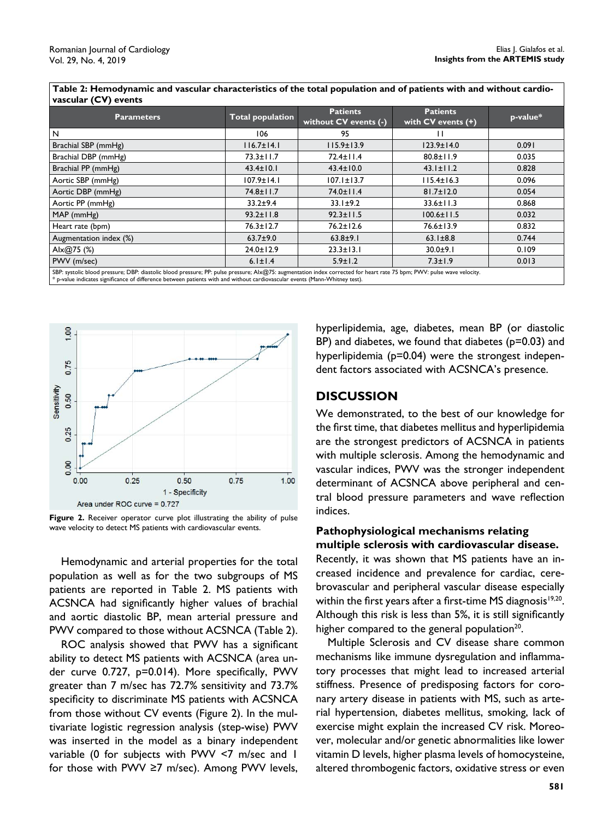| vascular (CV) events                                                                                                                                                                                                                                                                                                                                                                                    |                         |                                          |                                           |          |  |
|---------------------------------------------------------------------------------------------------------------------------------------------------------------------------------------------------------------------------------------------------------------------------------------------------------------------------------------------------------------------------------------------------------|-------------------------|------------------------------------------|-------------------------------------------|----------|--|
| <b>Parameters</b>                                                                                                                                                                                                                                                                                                                                                                                       | <b>Total population</b> | <b>Patients</b><br>without CV events (-) | <b>Patients</b><br>with $CV$ events $(+)$ | p-value* |  |
| N                                                                                                                                                                                                                                                                                                                                                                                                       | 106                     | 95                                       |                                           |          |  |
| Brachial SBP (mmHg)                                                                                                                                                                                                                                                                                                                                                                                     | $116.7 \pm 14.1$        | $115.9 \pm 13.9$                         | $123.9 \pm 14.0$                          | 0.091    |  |
| Brachial DBP (mmHg)                                                                                                                                                                                                                                                                                                                                                                                     | $73.3 \pm 11.7$         | 72.4±11.4                                | $80.8 \pm 11.9$                           | 0.035    |  |
| Brachial PP (mmHg)                                                                                                                                                                                                                                                                                                                                                                                      | $43.4 \pm 10.1$         | $43.4 \pm 10.0$                          | $43.1 \pm 11.2$                           | 0.828    |  |
| Aortic SBP (mmHg)                                                                                                                                                                                                                                                                                                                                                                                       | $107.9 \pm 14.1$        | $107.1 \pm 13.7$                         | $115.4 \pm 16.3$                          | 0.096    |  |
| Aortic DBP (mmHg)                                                                                                                                                                                                                                                                                                                                                                                       | $74.8 \pm 11.7$         | $74.0 \pm 11.4$                          | $81.7 \pm 12.0$                           | 0.054    |  |
| Aortic PP (mmHg)                                                                                                                                                                                                                                                                                                                                                                                        | $33.2 + 9.4$            | $33.1 \pm 9.2$                           | $33.6 \pm 11.3$                           | 0.868    |  |
| $MAP$ (mmHg)                                                                                                                                                                                                                                                                                                                                                                                            | $93.2 \pm 11.8$         | $92.3 \pm 11.5$                          | $100.6 \pm 11.5$                          | 0.032    |  |
| Heart rate (bpm)                                                                                                                                                                                                                                                                                                                                                                                        | $76.3 \pm 12.7$         | $76.2 \pm 12.6$                          | 76.6±13.9                                 | 0.832    |  |
| Augmentation index (%)                                                                                                                                                                                                                                                                                                                                                                                  | $63.7 + 9.0$            | $63.8 + 9.1$                             | $63.1 \pm 8.8$                            | 0.744    |  |
| Alx@75 $(%)$                                                                                                                                                                                                                                                                                                                                                                                            | $24.0 \pm 12.9$         | $23.3 \pm 13.1$                          | $30.0 + 9.1$                              | 0.109    |  |
| PWV (m/sec)                                                                                                                                                                                                                                                                                                                                                                                             | $6.1 \pm 1.4$           | $5.9 \pm 1.2$                            | $7.3 \pm 1.9$                             | 0.013    |  |
| SBP: systolic blood pressure; DBP: diastolic blood pressure; PP: pulse pressure; Alx@75: augmentation index corrected for heart rate 75 bpm; PWV: pulse wave velocity.<br>We conflict to discuss the through and differences. It is necessary to advertise of the distribution of the control of the conflict of the control of the control of the control of the control of the control of the control |                         |                                          |                                           |          |  |

**Table 2: Hemodynamic and vascular characteristics of the total population and of patients with and without cardio-**

een patients with and without cardiovascular even



Figure 2. Receiver operator curve plot illustrating the ability of pulse wave velocity to detect MS patients with cardiovascular events.

Hemodynamic and arterial properties for the total population as well as for the two subgroups of MS patients are reported in Table 2. MS patients with ACSNCA had significantly higher values of brachial and aortic diastolic BP, mean arterial pressure and PWV compared to those without ACSNCA (Table 2).

ROC analysis showed that PWV has a significant ability to detect MS patients with ACSNCA (area under curve 0.727, p=0.014). More specifically, PWV greater than 7 m/sec has 72.7% sensitivity and 73.7% specificity to discriminate MS patients with ACSNCA from those without CV events (Figure 2). In the multivariate logistic regression analysis (step-wise) PWV was inserted in the model as a binary independent variable (0 for subjects with PWV <7 m/sec and 1 for those with PWV ≥7 m/sec). Among PWV levels,

hyperlipidemia, age, diabetes, mean BP (or diastolic BP) and diabetes, we found that diabetes ( $p=0.03$ ) and hyperlipidemia (p=0.04) were the strongest independent factors associated with ACSNCA's presence.

#### **DISCUSSION**

We demonstrated, to the best of our knowledge for the first time, that diabetes mellitus and hyperlipidemia are the strongest predictors of ACSNCA in patients with multiple sclerosis. Among the hemodynamic and vascular indices, PWV was the stronger independent determinant of ACSNCA above peripheral and central blood pressure parameters and wave reflection indices.

### **Pathophysiological mechanisms relating multiple sclerosis with cardiovascular disease.**

Recently, it was shown that MS patients have an increased incidence and prevalence for cardiac, cerebrovascular and peripheral vascular disease especially within the first years after a first-time MS diagnosis<sup>19,20</sup>. Although this risk is less than 5%, it is still significantly higher compared to the general population $20$ .

Multiple Sclerosis and CV disease share common mechanisms like immune dysregulation and inflammatory processes that might lead to increased arterial stiffness. Presence of predisposing factors for coronary artery disease in patients with MS, such as arterial hypertension, diabetes mellitus, smoking, lack of exercise might explain the increased CV risk. Moreover, molecular and/or genetic abnormalities like lower vitamin D levels, higher plasma levels of homocysteine, altered thrombogenic factors, oxidative stress or even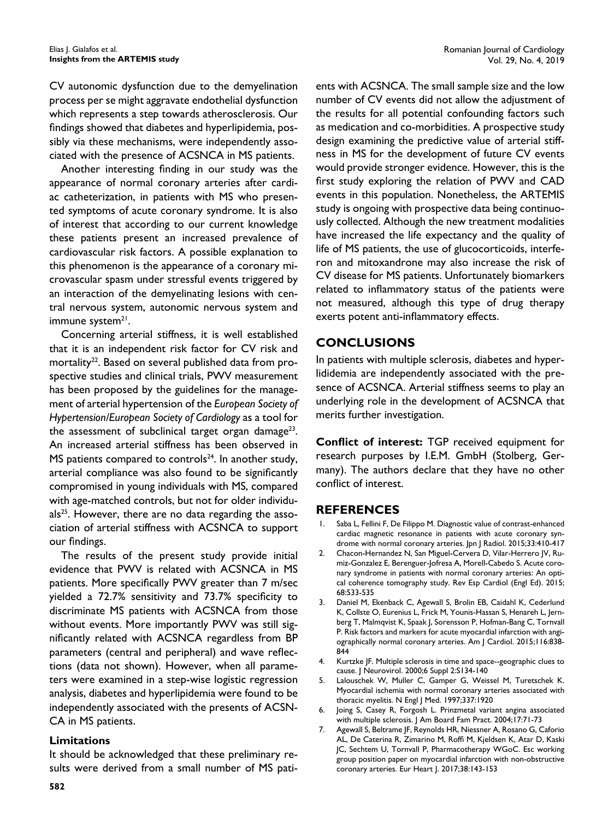CV autonomic dysfunction due to the demyelination process per se might aggravate endothelial dysfunction which represents a step towards atherosclerosis. Our findings showed that diabetes and hyperlipidemia, possibly via these mechanisms, were independently associated with the presence of ACSNCA in MS patients.

Another interesting finding in our study was the appearance of normal coronary arteries after cardiac catheterization, in patients with MS who presented symptoms of acute coronary syndrome. It is also of interest that according to our current knowledge these patients present an increased prevalence of cardiovascular risk factors. A possible explanation to this phenomenon is the appearance of a coronary microvascular spasm under stressful events triggered by an interaction of the demyelinating lesions with central nervous system, autonomic nervous system and immune system<sup>21</sup>.

Concerning arterial stiffness, it is well established that it is an independent risk factor for CV risk and mortality<sup>22</sup>. Based on several published data from prospective studies and clinical trials, PWV measurement has been proposed by the guidelines for the management of arterial hypertension of the *European Society of Hypertension/European Society of Cardiology* as a tool for the assessment of subclinical target organ damage<sup>23</sup>. An increased arterial stiffness has been observed in MS patients compared to controls $24$ . In another study, arterial compliance was also found to be significantly compromised in young individuals with MS, compared with age-matched controls, but not for older individu $als<sup>25</sup>$ . However, there are no data regarding the association of arterial stiffness with ACSNCA to support our findings.

The results of the present study provide initial evidence that PWV is related with ACSNCA in MS patients. More specifically PWV greater than 7 m/sec yielded a  $72.7\%$  sensitivity and  $73.7\%$  specificity to discriminate MS patients with ACSNCA from those without events. More importantly PWV was still significantly related with ACSNCA regardless from BP parameters (central and peripheral) and wave reflections (data not shown). However, when all parameters were examined in a step-wise logistic regression analysis, diabetes and hyperlipidemia were found to be independently associated with the presents of ACSN-CA in MS patients.

#### **Limitations**

It should be acknowledged that these preliminary results were derived from a small number of MS patients with ACSNCA. The small sample size and the low number of CV events did not allow the adjustment of the results for all potential confounding factors such as medication and co-morbidities. A prospective study design examining the predictive value of arterial stiffness in MS for the development of future CV events would provide stronger evidence. However, this is the first study exploring the relation of PWV and CAD events in this population. Nonetheless, the ARTEMIS study is ongoing with prospective data being continuously collected. Although the new treatment modalities have increased the life expectancy and the quality of life of MS patients, the use of glucocorticoids, interferon and mitoxandrone may also increase the risk of CV disease for MS patients. Unfortunately biomarkers related to inflammatory status of the patients were not measured, although this type of drug therapy exerts potent anti-inflammatory effects.

## **CONCLUSIONS**

In patients with multiple sclerosis, diabetes and hyperlididemia are independently associated with the presence of ACSNCA. Arterial stiffness seems to play an underlying role in the development of ACSNCA that merits further investigation.

**Conflict of interest: TGP** received equipment for research purposes by I.E.M. GmbH (Stolberg, Germany). The authors declare that they have no other conflict of interest.

## **REFERENCES**

- Saba L, Fellini F, De Filippo M. Diagnostic value of contrast-enhanced cardiac magnetic resonance in patients with acute coronary syndrome with normal coronary arteries. Jpn J Radiol. 2015;33:410-417
- 2. Chacon-Hernandez N, San Miguel-Cervera D, Vilar-Herrero JV, Rumiz-Gonzalez E, Berenguer-Jofresa A, Morell-Cabedo S. Acute coronary syndrome in patients with normal coronary arteries: An optical coherence tomography study. Rev Esp Cardiol (Engl Ed). 2015; 68:533-535
- 3. Daniel M, Ekenback C, Agewall S, Brolin EB, Caidahl K, Cederlund K, Collste O, Eurenius L, Frick M, Younis-Hassan S, Henareh L, Jernberg T, Malmqvist K, Spaak J, Sorensson P, Hofman-Bang C, Tornvall P. Risk factors and markers for acute myocardial infarction with angiographically normal coronary arteries. Am J Cardiol. 2015;116:838- 844
- 4. Kurtzke JF. Multiple sclerosis in time and space--geographic clues to cause. J Neurovirol. 2000;6 Suppl 2:S134-140
- 5. Lalouschek W, Muller C, Gamper G, Weissel M, Turetschek K. Myocardial ischemia with normal coronary arteries associated with thoracic myelitis. N Engl J Med. 1997;337:1920
- 6. Joing S, Casey R, Forgosh L. Prinzmetal variant angina associated with multiple sclerosis. J Am Board Fam Pract. 2004;17:71-73
- 7. Agewall S, Beltrame JF, Reynolds HR, Niessner A, Rosano G, Caforio AL, De Caterina R, Zimarino M, Roffi M, Kjeldsen K, Atar D, Kaski JC, Sechtem U, Tornvall P, Pharmacotherapy WGoC. Esc working group position paper on myocardial infarction with non-obstructive coronary arteries. Eur Heart J. 2017;38:143-153